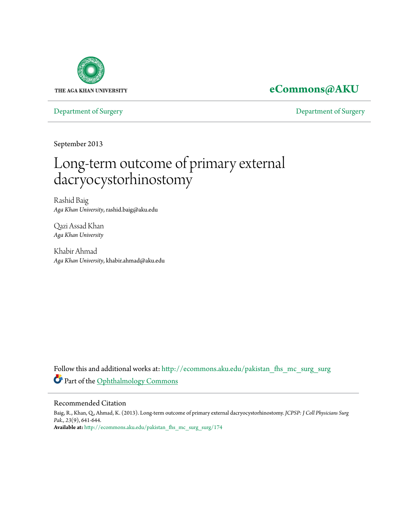

### **[eCommons@AKU](http://ecommons.aku.edu?utm_source=ecommons.aku.edu%2Fpakistan_fhs_mc_surg_surg%2F174&utm_medium=PDF&utm_campaign=PDFCoverPages)**

[Department of Surgery](http://ecommons.aku.edu/pakistan_fhs_mc_surg_surg?utm_source=ecommons.aku.edu%2Fpakistan_fhs_mc_surg_surg%2F174&utm_medium=PDF&utm_campaign=PDFCoverPages) [Department of Surgery](http://ecommons.aku.edu/pakistan_fhs_mc_surg?utm_source=ecommons.aku.edu%2Fpakistan_fhs_mc_surg_surg%2F174&utm_medium=PDF&utm_campaign=PDFCoverPages)

September 2013

# Long-term outcome of primary external dacryocystorhinostomy

Rashid Baig *Aga Khan University*, rashid.baig@aku.edu

Qazi Assad Khan *Aga Khan University*

Khabir Ahmad *Aga Khan University*, khabir.ahmad@aku.edu

Follow this and additional works at: [http://ecommons.aku.edu/pakistan\\_fhs\\_mc\\_surg\\_surg](http://ecommons.aku.edu/pakistan_fhs_mc_surg_surg?utm_source=ecommons.aku.edu%2Fpakistan_fhs_mc_surg_surg%2F174&utm_medium=PDF&utm_campaign=PDFCoverPages) Part of the [Ophthalmology Commons](http://network.bepress.com/hgg/discipline/695?utm_source=ecommons.aku.edu%2Fpakistan_fhs_mc_surg_surg%2F174&utm_medium=PDF&utm_campaign=PDFCoverPages)

#### Recommended Citation

Baig, R., Khan, Q., Ahmad, K. (2013). Long-term outcome of primary external dacryocystorhinostomy. *JCPSP: J Coll Physicians Surg Pak., 23*(9), 641-644. **Available at:** [http://ecommons.aku.edu/pakistan\\_fhs\\_mc\\_surg\\_surg/174](http://ecommons.aku.edu/pakistan_fhs_mc_surg_surg/174)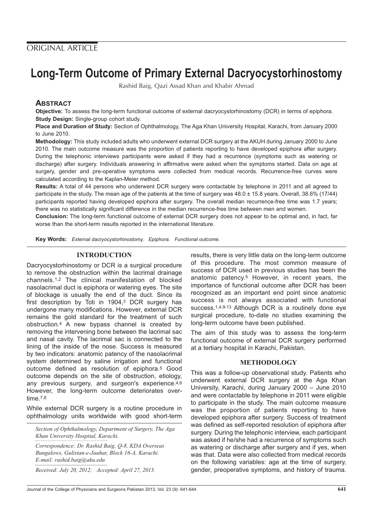## **Long-Term Outcome of Primary External Dacryocystorhinostomy**

Rashid Baig, Qazi Assad Khan and Khabir Ahmad

#### **ABSTRACT**

**Objective:** To assess the long-term functional outcome of external dacryocystorhinostomy (DCR) in terms of epiphora. **Study Design:** Single-group cohort study.

**Place and Duration of Study:** Section of Ophthalmology, The Aga Khan University Hospital, Karachi, from January 2000 to June 2010.

**Methodology:** This study included adults who underwent external DCR surgery at the AKUH during January 2000 to June 2010. The main outcome measure was the proportion of patients reporting to have developed epiphora after surgery. During the telephonic interviews participants were asked if they had a recurrence (symptoms such as watering or discharge) after surgery. Individuals answering in affirmative were asked when the symptoms started. Data on age at surgery, gender and pre-operative symptoms were collected from medical records. Recurrence-free curves were calculated according to the Kaplan-Meier method.

**Results:** A total of 44 persons who underwent DCR surgery were contactable by telephone in 2011 and all agreed to participate in the study. The mean age of the patients at the time of surgery was 48.0 ± 15.8 years. Overall, 38.6% (17/44) participants reported having developed epiphora after surgery. The overall median recurrence-free time was 1.7 years; there was no statistically significant difference in the median recurrence-free time between men and women.

**Conclusion:** The long-term functional outcome of external DCR surgery does not appear to be optimal and, in fact, far worse than the short-term results reported in the international literature.

**Key Words:** External dacryocystorhinostomy. Epiphora. Functional outcome.

#### **INTRODUCTION**

Dacryocystorhinostomy or DCR is a surgical procedure to remove the obstruction within the lacrimal drainage channels.1,2 The clinical manifestation of blocked nasolacrimal duct is epiphora or watering eyes. The site of blockage is usually the end of the duct. Since its first description by Toti in 1904,3 DCR surgery has undergone many modifications. However, external DCR remains the gold standard for the treatment of such obstruction.4 A new bypass channel is created by removing the intervening bone between the lacrimal sac and nasal cavity. The lacrimal sac is connected to the lining of the inside of the nose. Success is measured by two indicators: anatomic patency of the nasolacrimal system determined by saline irrigation and functional outcome defined as resolution of epiphora.5 Good outcome depends on the site of obstruction, etiology, any previous surgery, and surgeon's experience.4,6 However, the long-term outcome deteriorates overtime.7,8

While external DCR surgery is a routine procedure in ophthalmology units worldwide with good short-term

*Section of Ophthalmology, Department of Surgery, The Aga Khan University Hospital, Karachi.*

*Correspondence: Dr. Rashid Baig, Q-8, KDA Overseas Bungalows, Gulistan-e-Jauhar, Block 16-A, Karachi. E-mail: rashid.baig@aku.edu*

*Received: July 20, 2012; Accepted: April 27, 2013.*

results, there is very little data on the long-term outcome of this procedure. The most common measure of success of DCR used in previous studies has been the anatomic patency.5 However, in recent years, the importance of functional outcome after DCR has been recognized as an important end point since anatomic success is not always associated with functional success.<sup>1,4,9-13</sup> Although DCR is a routinely done eye surgical procedure, to-date no studies examining the long-term outcome have been published.

The aim of this study was to assess the long-term functional outcome of external DCR surgery performed at a tertiary hospital in Karachi, Pakistan.

#### **METHODOLOGY**

This was a follow-up observational study. Patients who underwent external DCR surgery at the Aga Khan University, Karachi, during January 2000 – June 2010 and were contactable by telephone in 2011 were eligible to participate in the study. The main outcome measure was the proportion of patients reporting to have developed epiphora after surgery. Success of treatment was defined as self-reported resolution of epiphora after surgery. During the telephonic interview, each participant was asked if he/she had a recurrence of symptoms such as watering or discharge after surgery and if yes, when was that. Data were also collected from medical records on the following variables: age at the time of surgery, gender, preoperative symptoms, and history of trauma.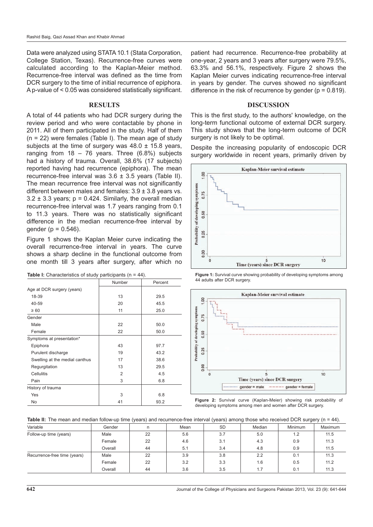Data were analyzed using STATA 10.1 (Stata Corporation, College Station, Texas). Recurrence-free curves were calculated according to the Kaplan-Meier method. Recurrence-free interval was defined as the time from DCR surgery to the time of initial recurrence of epiphora. A p-value of < 0.05 was considered statistically significant.

#### **RESULTS**

A total of 44 patients who had DCR surgery during the review period and who were contactable by phone in 2011. All of them participated in the study. Half of them  $(n = 22)$  were females (Table I). The mean age of study subjects at the time of surgery was  $48.0 \pm 15.8$  years, ranging from  $18 - 76$  years. Three  $(6.8\%)$  subjects had a history of trauma. Overall, 38.6% (17 subjects) reported having had recurrence (epiphora). The mean recurrence-free interval was 3.6 ± 3.5 years (Table II). The mean recurrence free interval was not significantly different between males and females: 3.9 ± 3.8 years vs.  $3.2 \pm 3.3$  years;  $p = 0.424$ . Similarly, the overall median recurrence-free interval was 1.7 years ranging from 0.1 to 11.3 years. There was no statistically significant difference in the median recurrence-free interval by gender ( $p = 0.546$ ).

Figure 1 shows the Kaplan Meier curve indicating the overall recurrence-free interval in years. The curve shows a sharp decline in the functional outcome from one month till 3 years after surgery, after which no

|                                | Number | Percent |
|--------------------------------|--------|---------|
| Age at DCR surgery (years)     |        |         |
| 18-39                          | 13     | 29.5    |
| 40-59                          | 20     | 45.5    |
| $\geq 60$                      | 11     | 25.0    |
| Gender                         |        |         |
| Male                           | 22     | 50.0    |
| Female                         | 22     | 50.0    |
| Symptoms at presentation*      |        |         |
| Epiphora                       | 43     | 97.7    |
| Purulent discharge             | 19     | 43.2    |
| Swelling at the medial canthus | 17     | 38.6    |
| Regurgitation                  | 13     | 29.5    |
| Cellulitis                     | 2      | 4.5     |
| Pain                           | 3      | 6.8     |
| History of trauma              |        |         |
| Yes                            | 3      | 6.8     |
| No                             | 41     | 93.2    |

**Table I:** Characteristics of study participants (n = 44).

patient had recurrence. Recurrence-free probability at one-year, 2 years and 3 years after surgery were 79.5%, 63.3% and 56.1%, respectively. Figure 2 shows the Kaplan Meier curves indicating recurrence-free interval in years by gender. The curves showed no significant difference in the risk of recurrence by gender ( $p = 0.819$ ).

#### **DISCUSSION**

This is the first study, to the authors' knowledge, on the long-term functional outcome of external DCR surgery. This study shows that the long-term outcome of DCR surgery is not likely to be optimal.

Despite the increasing popularity of endoscopic DCR surgery worldwide in recent years, primarily driven by







**Figure 2:** Survival curve (Kaplan-Meier) showing risk probability of developing symptoms among men and women after DCR surgery.

Table II: The mean and median follow-up time (years) and recurrence-free interval (years) among those who received DCR surgery (n = 44).

| Variable                     | Gender  | n  | Mean | <b>SD</b> | Median | Minimum | Maximum |
|------------------------------|---------|----|------|-----------|--------|---------|---------|
| Follow-up time (years)       | Male    | 22 | 5.6  | 3.7       | 5.0    | 1.2     | 11.5    |
|                              | Female  | 22 | 4.6  | 3.1       | 4.3    | 0.9     | 11.3    |
|                              | Overall | 44 | 5.1  | 3.4       | 4.8    | 0.9     | 11.5    |
| Recurrence-free time (years) | Male    | 22 | 3.9  | 3.8       | 2.2    | 0.1     | 11.3    |
|                              | Female  | 22 | 3.2  | 3.3       | 1.6    | 0.5     | 11.2    |
|                              | Overall | 44 | 3.6  | 3.5       |        | 0.1     | 11.3    |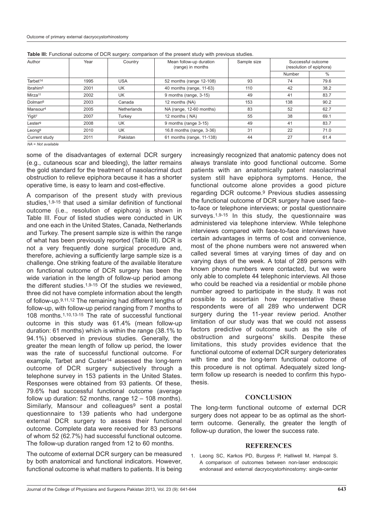| Author               | Year | Country     | Mean follow-up duration<br>(range) in months | Sample size | Successful outcome<br>(resolution of epiphora) |               |
|----------------------|------|-------------|----------------------------------------------|-------------|------------------------------------------------|---------------|
|                      |      |             |                                              |             | Number                                         | $\frac{0}{0}$ |
| Tarbet <sup>14</sup> | 1995 | <b>USA</b>  | 52 months (range 12-108)                     | 93          | 74                                             | 79.6          |
| Ibrahim <sup>5</sup> | 2001 | UK          | 40 months (range, 11-63)                     | 110         | 42                                             | 38.2          |
| Mirza <sup>11</sup>  | 2002 | UK          | 9 months (range, 3-15)                       | 49          | 41                                             | 83.7          |
| Dolman <sup>6</sup>  | 2003 | Canada      | 12 months (NA)                               | 153         | 138                                            | 90.2          |
| Mansour <sup>4</sup> | 2005 | Netherlands | NA (range, 12-60 months)                     | 83          | 52                                             | 62.7          |
| Yigit <sup>7</sup>   | 2007 | Turkev      | 12 months (NA)                               | 55          | 38                                             | 69.1          |
| Lester <sup>9</sup>  | 2008 | UK          | 9 months (range 3-15)                        | 49          | 41                                             | 83.7          |
| Leong <sup>9</sup>   | 2010 | UK          | 16.8 months (range, 3-36)                    | 31          | 22                                             | 71.0          |
| Current study        | 2011 | Pakistan    | 61 months (range, 11-138)                    | 44          | 27                                             | 61.4          |

**Table III:** Functional outcome of DCR surgery: comparison of the present study with previous studies.

 $NA = Not available$ 

some of the disadvantages of external DCR surgery (e.g., cutaneous scar and bleeding), the latter remains the gold standard for the treatment of nasolacrimal duct obstruction to relieve epiphora because it has a shorter operative time, is easy to learn and cost-effective.

A comparison of the present study with previous studies, 1,9-15 that used a similar definition of functional outcome (i.e., resolution of epiphora) is shown in Table III. Four of listed studies were conducted in UK and one each in the United States, Canada, Netherlands and Turkey. The present sample size is within the range of what has been previously reported (Table III). DCR is not a very frequently done surgical procedure and, therefore, achieving a sufficiently large sample size is a challenge. One striking feature of the available literature on functional outcome of DCR surgery has been the wide variation in the length of follow-up period among the different studies.<sup>1,9-15</sup> Of the studies we reviewed. three did not have complete information about the length of follow-up.9,11,12 The remaining had different lengths of follow-up, with follow-up period ranging from 7 months to 108 months.1,10,13-15 The rate of successful functional outcome in this study was 61.4% (mean follow-up duration: 61 months) which is within the range (38.1% to 94.1%) observed in previous studies. Generally, the greater the mean length of follow up period, the lower was the rate of successful functional outcome. For example, Tarbet and Custer<sup>14</sup> assessed the long-term outcome of DCR surgery subjectively through a telephone survey in 153 patients in the United States. Responses were obtained from 93 patients. Of these, 79.6% had successful functional outcome (average follow up duration: 52 months, range  $12 - 108$  months). Similarly, Mansour and colleagues<sup>9</sup> sent a postal questionnaire to 139 patients who had undergone external DCR surgery to assess their functional outcome. Complete data were received for 83 persons of whom 52 (62.7%) had successful functional outcome. The follow-up duration ranged from 12 to 60 months.

The outcome of external DCR surgery can be measured by both anatomical and functional indicators. However, functional outcome is what matters to patients. It is being increasingly recognized that anatomic patency does not always translate into good functional outcome. Some patients with an anatomically patent nasolacrimal system still have epiphora symptoms. Hence, the functional outcome alone provides a good picture regarding DCR outcome.9 Previous studies assessing the functional outcome of DCR surgery have used faceto-face or telephone interviews; or postal questionnaire surveys.<sup>1,9-15</sup> In this study, the questionnaire was administered via telephone interview. While telephone interviews compared with face-to-face interviews have certain advantages in terms of cost and convenience, most of the phone numbers were not answered when called several times at varying times of day and on varying days of the week. A total of 289 persons with known phone numbers were contacted, but we were only able to complete 44 telephonic interviews. All those who could be reached via a residential or mobile phone number agreed to participate in the study. It was not possible to ascertain how representative these respondents were of all 289 who underwent DCR surgery during the 11-year review period. Another limitation of our study was that we could not assess factors predictive of outcome such as the site of obstruction and surgeons' skills. Despite these limitations, this study provides evidence that the functional outcome of external DCR surgery deteriorates with time and the long-term functional outcome of this procedure is not optimal. Adequately sized longterm follow up research is needed to confirm this hypothesis.

#### **CONCLUSION**

The long-term functional outcome of external DCR surgery does not appear to be as optimal as the shortterm outcome. Generally, the greater the length of follow-up duration, the lower the success rate.

#### **REFERENCES**

1. Leong SC, Karkos PD, Burgess P, Halliwell M, Hampal S. A comparison of outcomes between non-laser endoscopic endonasal and external dacryocystorhinostomy: single-center